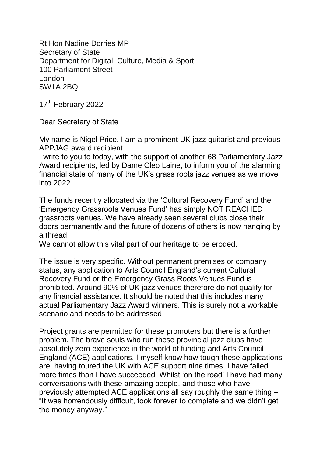Rt Hon Nadine Dorries MP Secretary of State Department for Digital, Culture, Media & Sport 100 Parliament Street London SW1A 2BQ

17<sup>th</sup> February 2022

Dear Secretary of State

My name is Nigel Price. I am a prominent UK jazz guitarist and previous APPJAG award recipient.

I write to you to today, with the support of another 68 Parliamentary Jazz Award recipients, led by Dame Cleo Laine, to inform you of the alarming financial state of many of the UK's grass roots jazz venues as we move into 2022.

The funds recently allocated via the 'Cultural Recovery Fund' and the 'Emergency Grassroots Venues Fund' has simply NOT REACHED grassroots venues. We have already seen several clubs close their doors permanently and the future of dozens of others is now hanging by a thread.

We cannot allow this vital part of our heritage to be eroded.

The issue is very specific. Without permanent premises or company status, any application to Arts Council England's current Cultural Recovery Fund or the Emergency Grass Roots Venues Fund is prohibited. Around 90% of UK jazz venues therefore do not qualify for any financial assistance. It should be noted that this includes many actual Parliamentary Jazz Award winners. This is surely not a workable scenario and needs to be addressed.

Project grants are permitted for these promoters but there is a further problem. The brave souls who run these provincial jazz clubs have absolutely zero experience in the world of funding and Arts Council England (ACE) applications. I myself know how tough these applications are; having toured the UK with ACE support nine times. I have failed more times than I have succeeded. Whilst 'on the road' I have had many conversations with these amazing people, and those who have previously attempted ACE applications all say roughly the same thing – "It was horrendously difficult, took forever to complete and we didn't get the money anyway."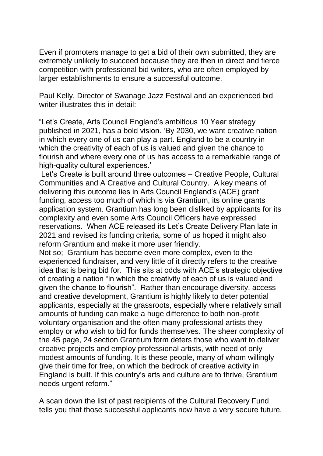Even if promoters manage to get a bid of their own submitted, they are extremely unlikely to succeed because they are then in direct and fierce competition with professional bid writers, who are often employed by larger establishments to ensure a successful outcome.

Paul Kelly, Director of Swanage Jazz Festival and an experienced bid writer illustrates this in detail:

"Let's Create, Arts Council England's ambitious 10 Year strategy published in 2021, has a bold vision. 'By 2030, we want creative nation in which every one of us can play a part. England to be a country in which the creativity of each of us is valued and given the chance to flourish and where every one of us has access to a remarkable range of high-quality cultural experiences.'

Let's Create is built around three outcomes – Creative People, Cultural Communities and A Creative and Cultural Country. A key means of delivering this outcome lies in Arts Council England's (ACE) grant funding, access too much of which is via Grantium, its online grants application system. Grantium has long been disliked by applicants for its complexity and even some Arts Council Officers have expressed reservations. When ACE released its Let's Create Delivery Plan late in 2021 and revised its funding criteria, some of us hoped it might also reform Grantium and make it more user friendly.

Not so; Grantium has become even more complex, even to the experienced fundraiser, and very little of it directly refers to the creative idea that is being bid for. This sits at odds with ACE's strategic objective of creating a nation "in which the creativity of each of us is valued and given the chance to flourish". Rather than encourage diversity, access and creative development, Grantium is highly likely to deter potential applicants, especially at the grassroots, especially where relatively small amounts of funding can make a huge difference to both non-profit voluntary organisation and the often many professional artists they employ or who wish to bid for funds themselves. The sheer complexity of the 45 page, 24 section Grantium form deters those who want to deliver creative projects and employ professional artists, with need of only modest amounts of funding. It is these people, many of whom willingly give their time for free, on which the bedrock of creative activity in England is built. If this country's arts and culture are to thrive, Grantium needs urgent reform."

A scan down the list of past recipients of the Cultural Recovery Fund tells you that those successful applicants now have a very secure future.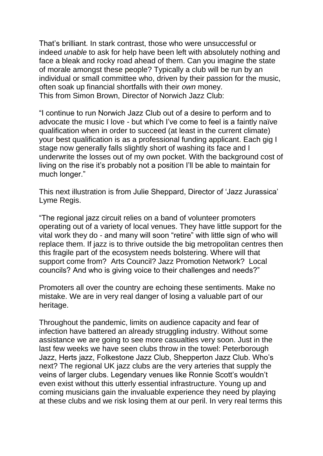That's brilliant. In stark contrast, those who were unsuccessful or indeed *unable* to ask for help have been left with absolutely nothing and face a bleak and rocky road ahead of them. Can you imagine the state of morale amongst these people? Typically a club will be run by an individual or small committee who, driven by their passion for the music, often soak up financial shortfalls with their *own* money. This from Simon Brown, Director of Norwich Jazz Club:

"I continue to run Norwich Jazz Club out of a desire to perform and to advocate the music I love - but which I've come to feel is a faintly naïve qualification when in order to succeed (at least in the current climate) your best qualification is as a professional funding applicant. Each gig I stage now generally falls slightly short of washing its face and I underwrite the losses out of my own pocket. With the background cost of living on the rise it's probably not a position I'll be able to maintain for much longer."

This next illustration is from Julie Sheppard, Director of 'Jazz Jurassica' Lyme Regis.

"The regional jazz circuit relies on a band of volunteer promoters operating out of a variety of local venues. They have little support for the vital work they do - and many will soon "retire" with little sign of who will replace them. If jazz is to thrive outside the big metropolitan centres then this fragile part of the ecosystem needs bolstering. Where will that support come from? Arts Council? Jazz Promotion Network? Local councils? And who is giving voice to their challenges and needs?"

Promoters all over the country are echoing these sentiments. Make no mistake. We are in very real danger of losing a valuable part of our heritage.

Throughout the pandemic, limits on audience capacity and fear of infection have battered an already struggling industry. Without some assistance we are going to see more casualties very soon. Just in the last few weeks we have seen clubs throw in the towel: Peterborough Jazz, Herts jazz, Folkestone Jazz Club, Shepperton Jazz Club. Who's next? The regional UK jazz clubs are the very arteries that supply the veins of larger clubs. Legendary venues like Ronnie Scott's wouldn't even exist without this utterly essential infrastructure. Young up and coming musicians gain the invaluable experience they need by playing at these clubs and we risk losing them at our peril. In very real terms this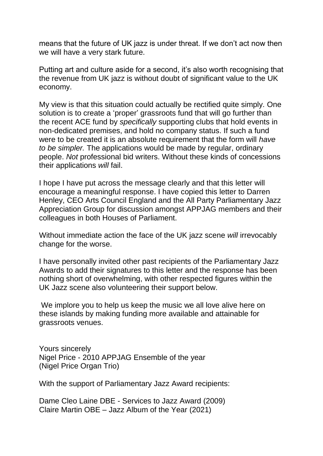means that the future of UK jazz is under threat. If we don't act now then we will have a very stark future.

Putting art and culture aside for a second, it's also worth recognising that the revenue from UK jazz is without doubt of significant value to the UK economy.

My view is that this situation could actually be rectified quite simply. One solution is to create a 'proper' grassroots fund that will go further than the recent ACE fund by *specifically* supporting clubs that hold events in non-dedicated premises, and hold no company status. If such a fund were to be created it is an absolute requirement that the form will *have to be simpler.* The applications would be made by regular, ordinary people. *Not* professional bid writers. Without these kinds of concessions their applications *will* fail.

I hope I have put across the message clearly and that this letter will encourage a meaningful response. I have copied this letter to Darren Henley, CEO Arts Council England and the All Party Parliamentary Jazz Appreciation Group for discussion amongst APPJAG members and their colleagues in both Houses of Parliament.

Without immediate action the face of the UK jazz scene *will* irrevocably change for the worse.

I have personally invited other past recipients of the Parliamentary Jazz Awards to add their signatures to this letter and the response has been nothing short of overwhelming, with other respected figures within the UK Jazz scene also volunteering their support below.

We implore you to help us keep the music we all love alive here on these islands by making funding more available and attainable for grassroots venues.

Yours sincerely Nigel Price - 2010 APPJAG Ensemble of the year (Nigel Price Organ Trio)

With the support of Parliamentary Jazz Award recipients:

Dame Cleo Laine DBE - Services to Jazz Award (2009) Claire Martin OBE – Jazz Album of the Year (2021)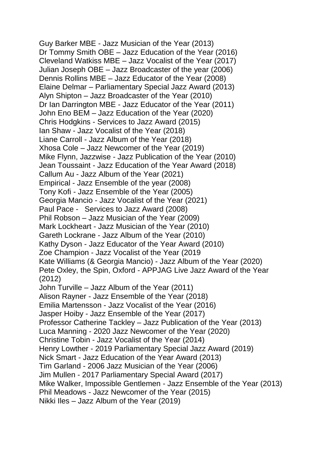Guy Barker MBE - Jazz Musician of the Year (2013) Dr Tommy Smith OBE – Jazz Education of the Year (2016) Cleveland Watkiss MBE – Jazz Vocalist of the Year (2017) Julian Joseph OBE – Jazz Broadcaster of the year (2006) Dennis Rollins MBE – Jazz Educator of the Year (2008) Elaine Delmar – Parliamentary Special Jazz Award (2013) Alyn Shipton – Jazz Broadcaster of the Year (2010) Dr Ian Darrington MBE - Jazz Educator of the Year (2011) John Eno BEM – Jazz Education of the Year (2020) Chris Hodgkins - Services to Jazz Award (2015) Ian Shaw - Jazz Vocalist of the Year (2018) Liane Carroll - Jazz Album of the Year (2018) Xhosa Cole – Jazz Newcomer of the Year (2019) Mike Flynn, Jazzwise - Jazz Publication of the Year (2010) Jean Toussaint - Jazz Education of the Year Award (2018) Callum Au - Jazz Album of the Year (2021) Empirical - Jazz Ensemble of the year (2008) Tony Kofi - Jazz Ensemble of the Year (2005) Georgia Mancio - Jazz Vocalist of the Year (2021) Paul Pace - Services to Jazz Award (2008) Phil Robson – Jazz Musician of the Year (2009) Mark Lockheart - Jazz Musician of the Year (2010) Gareth Lockrane - Jazz Album of the Year (2010) Kathy Dyson - Jazz Educator of the Year Award (2010) Zoe Champion - Jazz Vocalist of the Year (2019 Kate Williams (& Georgia Mancio) - Jazz Album of the Year (2020) Pete Oxley, the Spin, Oxford - APPJAG Live Jazz Award of the Year (2012) John Turville – Jazz Album of the Year (2011) Alison Rayner - Jazz Ensemble of the Year (2018) Emilia Martensson - Jazz Vocalist of the Year (2016) Jasper Hoiby - Jazz Ensemble of the Year (2017) Professor Catherine Tackley – Jazz Publication of the Year (2013) Luca Manning - 2020 Jazz Newcomer of the Year (2020) Christine Tobin - Jazz Vocalist of the Year (2014) Henry Lowther - 2019 Parliamentary Special Jazz Award (2019) Nick Smart - Jazz Education of the Year Award (2013) Tim Garland - 2006 Jazz Musician of the Year (2006) Jim Mullen - 2017 Parliamentary Special Award (2017) Mike Walker, Impossible Gentlemen - Jazz Ensemble of the Year (2013) Phil Meadows - Jazz Newcomer of the Year (2015) Nikki Iles – Jazz Album of the Year (2019)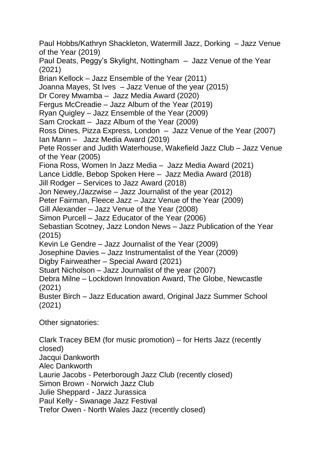Paul Hobbs/Kathryn Shackleton, Watermill Jazz, Dorking – Jazz Venue of the Year (2019) Paul Deats, Peggy's Skylight, Nottingham – Jazz Venue of the Year (2021) Brian Kellock – Jazz Ensemble of the Year (2011) Joanna Mayes, St Ives – Jazz Venue of the year (2015) Dr Corey Mwamba – Jazz Media Award (2020) Fergus McCreadie – Jazz Album of the Year (2019) Ryan Quigley – Jazz Ensemble of the Year (2009) Sam Crockatt – Jazz Album of the Year (2009) Ross Dines, Pizza Express, London – Jazz Venue of the Year (2007) Ian Mann – Jazz Media Award (2019) Pete Rosser and Judith Waterhouse, Wakefield Jazz Club – Jazz Venue of the Year (2005) Fiona Ross, Women In Jazz Media – Jazz Media Award (2021) Lance Liddle, Bebop Spoken Here – Jazz Media Award (2018) Jill Rodger – Services to Jazz Award (2018) Jon Newey,/Jazzwise – Jazz Journalist of the year (2012) Peter Fairman, Fleece Jazz – Jazz Venue of the Year (2009) Gill Alexander – Jazz Venue of the Year (2008) Simon Purcell – Jazz Educator of the Year (2006) Sebastian Scotney, Jazz London News – Jazz Publication of the Year (2015) Kevin Le Gendre – Jazz Journalist of the Year (2009) Josephine Davies – Jazz Instrumentalist of the Year (2009) Digby Fairweather – Special Award (2021) Stuart Nicholson – Jazz Journalist of the year (2007) Debra Milne – Lockdown Innovation Award, The Globe, Newcastle (2021) Buster Birch – Jazz Education award, Original Jazz Summer School (2021) Other signatories:

Clark Tracey BEM (for music promotion) – for Herts Jazz (recently closed) Jacqui Dankworth Alec Dankworth Laurie Jacobs - Peterborough Jazz Club (recently closed) Simon Brown - Norwich Jazz Club Julie Sheppard - Jazz Jurassica Paul Kelly - Swanage Jazz Festival Trefor Owen - North Wales Jazz (recently closed)